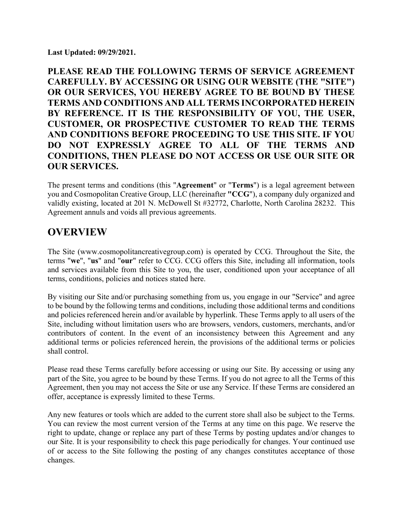**Last Updated: 09/29/2021.**

**PLEASE READ THE FOLLOWING TERMS OF SERVICE AGREEMENT CAREFULLY. BY ACCESSING OR USING OUR WEBSITE (THE "SITE") OR OUR SERVICES, YOU HEREBY AGREE TO BE BOUND BY THESE TERMS AND CONDITIONS AND ALL TERMS INCORPORATED HEREIN BY REFERENCE. IT IS THE RESPONSIBILITY OF YOU, THE USER, CUSTOMER, OR PROSPECTIVE CUSTOMER TO READ THE TERMS AND CONDITIONS BEFORE PROCEEDING TO USE THIS SITE. IF YOU DO NOT EXPRESSLY AGREE TO ALL OF THE TERMS AND CONDITIONS, THEN PLEASE DO NOT ACCESS OR USE OUR SITE OR OUR SERVICES.** 

The present terms and conditions (this "**Agreement**" or "**Terms**") is a legal agreement between you and Cosmopolitan Creative Group, LLC (hereinafter **"CCG**"), a company duly organized and validly existing, located at 201 N. McDowell St #32772, Charlotte, North Carolina 28232. This Agreement annuls and voids all previous agreements.

## **OVERVIEW**

The Site (www.cosmopolitancreativegroup.com) is operated by CCG. Throughout the Site, the terms "**we**", "**us**" and "**our**" refer to CCG. CCG offers this Site, including all information, tools and services available from this Site to you, the user, conditioned upon your acceptance of all terms, conditions, policies and notices stated here.

By visiting our Site and/or purchasing something from us, you engage in our "Service" and agree to be bound by the following terms and conditions, including those additional terms and conditions and policies referenced herein and/or available by hyperlink. These Terms apply to all users of the Site, including without limitation users who are browsers, vendors, customers, merchants, and/or contributors of content. In the event of an inconsistency between this Agreement and any additional terms or policies referenced herein, the provisions of the additional terms or policies shall control.

Please read these Terms carefully before accessing or using our Site. By accessing or using any part of the Site, you agree to be bound by these Terms. If you do not agree to all the Terms of this Agreement, then you may not access the Site or use any Service. If these Terms are considered an offer, acceptance is expressly limited to these Terms.

Any new features or tools which are added to the current store shall also be subject to the Terms. You can review the most current version of the Terms at any time on this page. We reserve the right to update, change or replace any part of these Terms by posting updates and/or changes to our Site. It is your responsibility to check this page periodically for changes. Your continued use of or access to the Site following the posting of any changes constitutes acceptance of those changes.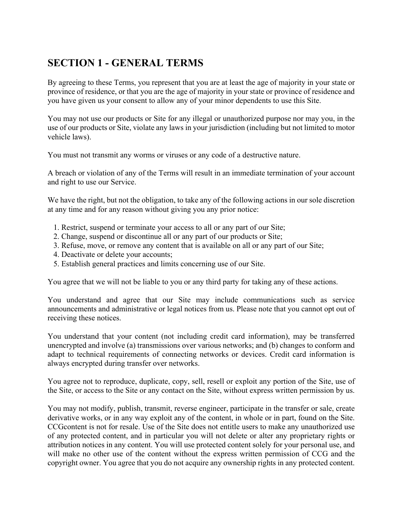# **SECTION 1 - GENERAL TERMS**

By agreeing to these Terms, you represent that you are at least the age of majority in your state or province of residence, or that you are the age of majority in your state or province of residence and you have given us your consent to allow any of your minor dependents to use this Site.

You may not use our products or Site for any illegal or unauthorized purpose nor may you, in the use of our products or Site, violate any laws in your jurisdiction (including but not limited to motor vehicle laws).

You must not transmit any worms or viruses or any code of a destructive nature.

A breach or violation of any of the Terms will result in an immediate termination of your account and right to use our Service.

We have the right, but not the obligation, to take any of the following actions in our sole discretion at any time and for any reason without giving you any prior notice:

- 1. Restrict, suspend or terminate your access to all or any part of our Site;
- 2. Change, suspend or discontinue all or any part of our products or Site;
- 3. Refuse, move, or remove any content that is available on all or any part of our Site;
- 4. Deactivate or delete your accounts;
- 5. Establish general practices and limits concerning use of our Site.

You agree that we will not be liable to you or any third party for taking any of these actions.

You understand and agree that our Site may include communications such as service announcements and administrative or legal notices from us. Please note that you cannot opt out of receiving these notices.

You understand that your content (not including credit card information), may be transferred unencrypted and involve (a) transmissions over various networks; and (b) changes to conform and adapt to technical requirements of connecting networks or devices. Credit card information is always encrypted during transfer over networks.

You agree not to reproduce, duplicate, copy, sell, resell or exploit any portion of the Site, use of the Site, or access to the Site or any contact on the Site, without express written permission by us.

You may not modify, publish, transmit, reverse engineer, participate in the transfer or sale, create derivative works, or in any way exploit any of the content, in whole or in part, found on the Site. CCGcontent is not for resale. Use of the Site does not entitle users to make any unauthorized use of any protected content, and in particular you will not delete or alter any proprietary rights or attribution notices in any content. You will use protected content solely for your personal use, and will make no other use of the content without the express written permission of CCG and the copyright owner. You agree that you do not acquire any ownership rights in any protected content.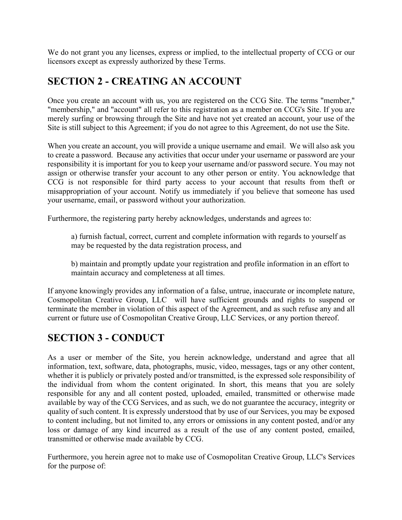We do not grant you any licenses, express or implied, to the intellectual property of CCG or our licensors except as expressly authorized by these Terms.

## **SECTION 2 - CREATING AN ACCOUNT**

Once you create an account with us, you are registered on the CCG Site. The terms "member," "membership," and "account" all refer to this registration as a member on CCG's Site. If you are merely surfing or browsing through the Site and have not yet created an account, your use of the Site is still subject to this Agreement; if you do not agree to this Agreement, do not use the Site.

When you create an account, you will provide a unique username and email. We will also ask you to create a password. Because any activities that occur under your username or password are your responsibility it is important for you to keep your username and/or password secure. You may not assign or otherwise transfer your account to any other person or entity. You acknowledge that CCG is not responsible for third party access to your account that results from theft or misappropriation of your account. Notify us immediately if you believe that someone has used your username, email, or password without your authorization.

Furthermore, the registering party hereby acknowledges, understands and agrees to:

a) furnish factual, correct, current and complete information with regards to yourself as may be requested by the data registration process, and

b) maintain and promptly update your registration and profile information in an effort to maintain accuracy and completeness at all times.

If anyone knowingly provides any information of a false, untrue, inaccurate or incomplete nature, Cosmopolitan Creative Group, LLC will have sufficient grounds and rights to suspend or terminate the member in violation of this aspect of the Agreement, and as such refuse any and all current or future use of Cosmopolitan Creative Group, LLC Services, or any portion thereof.

## **SECTION 3 - CONDUCT**

As a user or member of the Site, you herein acknowledge, understand and agree that all information, text, software, data, photographs, music, video, messages, tags or any other content, whether it is publicly or privately posted and/or transmitted, is the expressed sole responsibility of the individual from whom the content originated. In short, this means that you are solely responsible for any and all content posted, uploaded, emailed, transmitted or otherwise made available by way of the CCG Services, and as such, we do not guarantee the accuracy, integrity or quality of such content. It is expressly understood that by use of our Services, you may be exposed to content including, but not limited to, any errors or omissions in any content posted, and/or any loss or damage of any kind incurred as a result of the use of any content posted, emailed, transmitted or otherwise made available by CCG.

Furthermore, you herein agree not to make use of Cosmopolitan Creative Group, LLC's Services for the purpose of: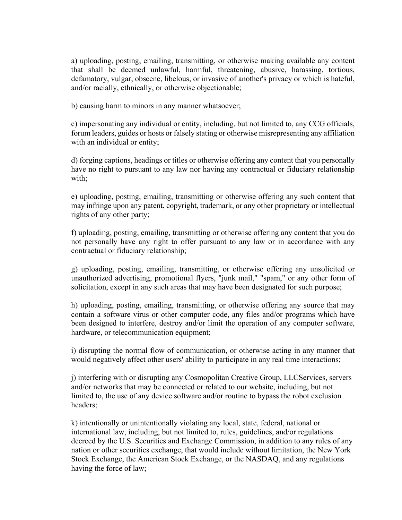a) uploading, posting, emailing, transmitting, or otherwise making available any content that shall be deemed unlawful, harmful, threatening, abusive, harassing, tortious, defamatory, vulgar, obscene, libelous, or invasive of another's privacy or which is hateful, and/or racially, ethnically, or otherwise objectionable;

b) causing harm to minors in any manner whatsoever;

c) impersonating any individual or entity, including, but not limited to, any CCG officials, forum leaders, guides or hosts or falsely stating or otherwise misrepresenting any affiliation with an individual or entity;

d) forging captions, headings or titles or otherwise offering any content that you personally have no right to pursuant to any law nor having any contractual or fiduciary relationship with;

e) uploading, posting, emailing, transmitting or otherwise offering any such content that may infringe upon any patent, copyright, trademark, or any other proprietary or intellectual rights of any other party;

f) uploading, posting, emailing, transmitting or otherwise offering any content that you do not personally have any right to offer pursuant to any law or in accordance with any contractual or fiduciary relationship;

g) uploading, posting, emailing, transmitting, or otherwise offering any unsolicited or unauthorized advertising, promotional flyers, "junk mail," "spam," or any other form of solicitation, except in any such areas that may have been designated for such purpose;

h) uploading, posting, emailing, transmitting, or otherwise offering any source that may contain a software virus or other computer code, any files and/or programs which have been designed to interfere, destroy and/or limit the operation of any computer software, hardware, or telecommunication equipment;

i) disrupting the normal flow of communication, or otherwise acting in any manner that would negatively affect other users' ability to participate in any real time interactions;

j) interfering with or disrupting any Cosmopolitan Creative Group, LLCServices, servers and/or networks that may be connected or related to our website, including, but not limited to, the use of any device software and/or routine to bypass the robot exclusion headers;

k) intentionally or unintentionally violating any local, state, federal, national or international law, including, but not limited to, rules, guidelines, and/or regulations decreed by the U.S. Securities and Exchange Commission, in addition to any rules of any nation or other securities exchange, that would include without limitation, the New York Stock Exchange, the American Stock Exchange, or the NASDAQ, and any regulations having the force of law;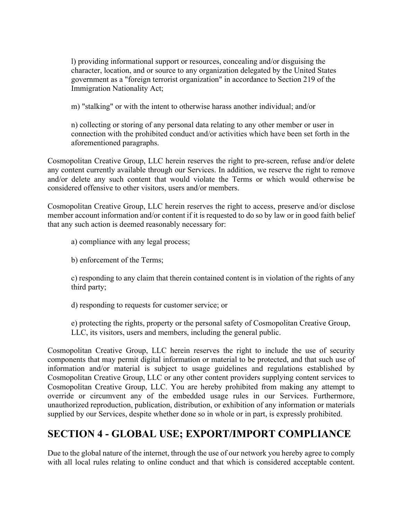l) providing informational support or resources, concealing and/or disguising the character, location, and or source to any organization delegated by the United States government as a "foreign terrorist organization" in accordance to Section 219 of the Immigration Nationality Act;

m) "stalking" or with the intent to otherwise harass another individual; and/or

n) collecting or storing of any personal data relating to any other member or user in connection with the prohibited conduct and/or activities which have been set forth in the aforementioned paragraphs.

Cosmopolitan Creative Group, LLC herein reserves the right to pre-screen, refuse and/or delete any content currently available through our Services. In addition, we reserve the right to remove and/or delete any such content that would violate the Terms or which would otherwise be considered offensive to other visitors, users and/or members.

Cosmopolitan Creative Group, LLC herein reserves the right to access, preserve and/or disclose member account information and/or content if it is requested to do so by law or in good faith belief that any such action is deemed reasonably necessary for:

a) compliance with any legal process;

b) enforcement of the Terms;

c) responding to any claim that therein contained content is in violation of the rights of any third party;

d) responding to requests for customer service; or

e) protecting the rights, property or the personal safety of Cosmopolitan Creative Group, LLC, its visitors, users and members, including the general public.

Cosmopolitan Creative Group, LLC herein reserves the right to include the use of security components that may permit digital information or material to be protected, and that such use of information and/or material is subject to usage guidelines and regulations established by Cosmopolitan Creative Group, LLC or any other content providers supplying content services to Cosmopolitan Creative Group, LLC. You are hereby prohibited from making any attempt to override or circumvent any of the embedded usage rules in our Services. Furthermore, unauthorized reproduction, publication, distribution, or exhibition of any information or materials supplied by our Services, despite whether done so in whole or in part, is expressly prohibited.

## **SECTION 4 - GLOBAL USE; EXPORT/IMPORT COMPLIANCE**

Due to the global nature of the internet, through the use of our network you hereby agree to comply with all local rules relating to online conduct and that which is considered acceptable content.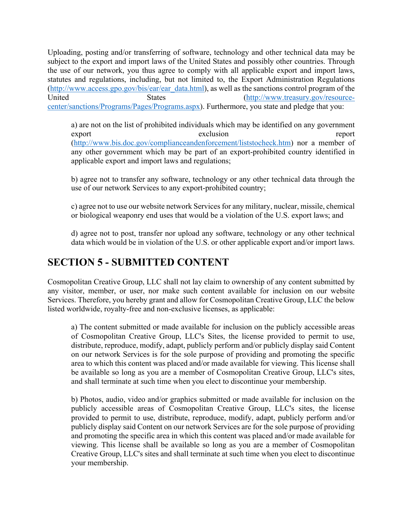Uploading, posting and/or transferring of software, technology and other technical data may be subject to the export and import laws of the United States and possibly other countries. Through the use of our network, you thus agree to comply with all applicable export and import laws, statutes and regulations, including, but not limited to, the Export Administration Regulations (http://www.access.gpo.gov/bis/ear/ear\_data.html), as well as the sanctions control program of the United States States (http://www.treasury.gov/resourcecenter/sanctions/Programs/Pages/Programs.aspx). Furthermore, you state and pledge that you:

a) are not on the list of prohibited individuals which may be identified on any government export exclusion exclusion (http://www.bis.doc.gov/complianceandenforcement/liststocheck.htm) nor a member of any other government which may be part of an export-prohibited country identified in applicable export and import laws and regulations;

b) agree not to transfer any software, technology or any other technical data through the use of our network Services to any export-prohibited country;

c) agree not to use our website network Services for any military, nuclear, missile, chemical or biological weaponry end uses that would be a violation of the U.S. export laws; and

d) agree not to post, transfer nor upload any software, technology or any other technical data which would be in violation of the U.S. or other applicable export and/or import laws.

# **SECTION 5 - SUBMITTED CONTENT**

Cosmopolitan Creative Group, LLC shall not lay claim to ownership of any content submitted by any visitor, member, or user, nor make such content available for inclusion on our website Services. Therefore, you hereby grant and allow for Cosmopolitan Creative Group, LLC the below listed worldwide, royalty-free and non-exclusive licenses, as applicable:

a) The content submitted or made available for inclusion on the publicly accessible areas of Cosmopolitan Creative Group, LLC's Sites, the license provided to permit to use, distribute, reproduce, modify, adapt, publicly perform and/or publicly display said Content on our network Services is for the sole purpose of providing and promoting the specific area to which this content was placed and/or made available for viewing. This license shall be available so long as you are a member of Cosmopolitan Creative Group, LLC's sites, and shall terminate at such time when you elect to discontinue your membership.

b) Photos, audio, video and/or graphics submitted or made available for inclusion on the publicly accessible areas of Cosmopolitan Creative Group, LLC's sites, the license provided to permit to use, distribute, reproduce, modify, adapt, publicly perform and/or publicly display said Content on our network Services are for the sole purpose of providing and promoting the specific area in which this content was placed and/or made available for viewing. This license shall be available so long as you are a member of Cosmopolitan Creative Group, LLC's sites and shall terminate at such time when you elect to discontinue your membership.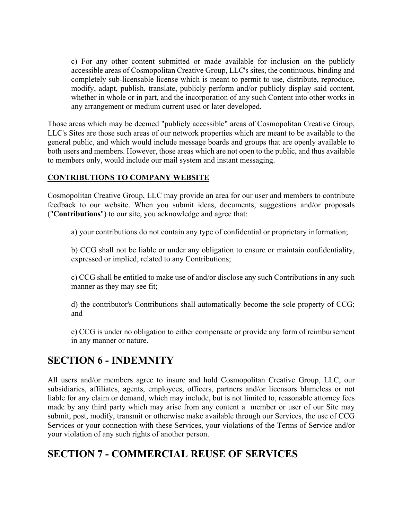c) For any other content submitted or made available for inclusion on the publicly accessible areas of Cosmopolitan Creative Group, LLC's sites, the continuous, binding and completely sub-licensable license which is meant to permit to use, distribute, reproduce, modify, adapt, publish, translate, publicly perform and/or publicly display said content, whether in whole or in part, and the incorporation of any such Content into other works in any arrangement or medium current used or later developed.

Those areas which may be deemed "publicly accessible" areas of Cosmopolitan Creative Group, LLC's Sites are those such areas of our network properties which are meant to be available to the general public, and which would include message boards and groups that are openly available to both users and members. However, those areas which are not open to the public, and thus available to members only, would include our mail system and instant messaging.

#### **CONTRIBUTIONS TO COMPANY WEBSITE**

Cosmopolitan Creative Group, LLC may provide an area for our user and members to contribute feedback to our website. When you submit ideas, documents, suggestions and/or proposals ("**Contributions**") to our site, you acknowledge and agree that:

a) your contributions do not contain any type of confidential or proprietary information;

b) CCG shall not be liable or under any obligation to ensure or maintain confidentiality, expressed or implied, related to any Contributions;

c) CCG shall be entitled to make use of and/or disclose any such Contributions in any such manner as they may see fit;

d) the contributor's Contributions shall automatically become the sole property of CCG; and

e) CCG is under no obligation to either compensate or provide any form of reimbursement in any manner or nature.

### **SECTION 6 - INDEMNITY**

All users and/or members agree to insure and hold Cosmopolitan Creative Group, LLC, our subsidiaries, affiliates, agents, employees, officers, partners and/or licensors blameless or not liable for any claim or demand, which may include, but is not limited to, reasonable attorney fees made by any third party which may arise from any content a member or user of our Site may submit, post, modify, transmit or otherwise make available through our Services, the use of CCG Services or your connection with these Services, your violations of the Terms of Service and/or your violation of any such rights of another person.

# **SECTION 7 - COMMERCIAL REUSE OF SERVICES**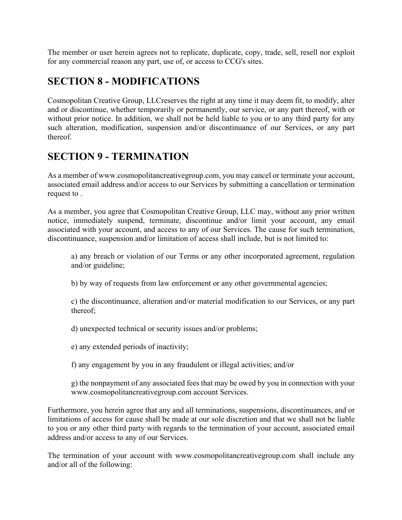The member or user herein agrees not to replicate, duplicate, copy, trade, sell, resell nor exploit for any commercial reason any part, use of, or access to CCG's sites.

## **SECTION 8 - MODIFICATIONS**

Cosmopolitan Creative Group, LLCreserves the right at any time it may deem fit, to modify, alter and or discontinue, whether temporarily or permanently, our service, or any part thereof, with or without prior notice. In addition, we shall not be held liable to you or to any third party for any such alteration, modification, suspension and/or discontinuance of our Services, or any part thereof.

## **SECTION 9 - TERMINATION**

As a member of www.cosmopolitancreativegroup.com, you may cancel or terminate your account, associated email address and/or access to our Services by submitting a cancellation or termination request to .

As a member, you agree that Cosmopolitan Creative Group, LLC may, without any prior written notice, immediately suspend, terminate, discontinue and/or limit your account, any email associated with your account, and access to any of our Services. The cause for such termination, discontinuance, suspension and/or limitation of access shall include, but is not limited to:

a) any breach or violation of our Terms or any other incorporated agreement, regulation and/or guideline;

b) by way of requests from law enforcement or any other governmental agencies;

c) the discontinuance, alteration and/or material modification to our Services, or any part thereof;

d) unexpected technical or security issues and/or problems;

e) any extended periods of inactivity;

f) any engagement by you in any fraudulent or illegal activities; and/or

g) the nonpayment of any associated fees that may be owed by you in connection with your www.cosmopolitancreativegroup.com account Services.

Furthermore, you herein agree that any and all terminations, suspensions, discontinuances, and or limitations of access for cause shall be made at our sole discretion and that we shall not be liable to you or any other third party with regards to the termination of your account, associated email address and/or access to any of our Services.

The termination of your account with www.cosmopolitancreativegroup.com shall include any and/or all of the following: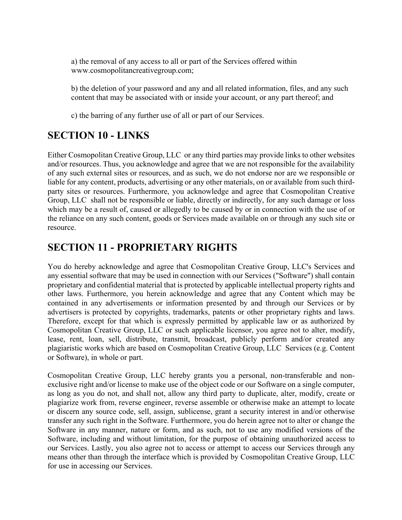a) the removal of any access to all or part of the Services offered within www.cosmopolitancreativegroup.com;

b) the deletion of your password and any and all related information, files, and any such content that may be associated with or inside your account, or any part thereof; and

c) the barring of any further use of all or part of our Services.

## **SECTION 10 - LINKS**

Either Cosmopolitan Creative Group, LLC or any third parties may provide links to other websites and/or resources. Thus, you acknowledge and agree that we are not responsible for the availability of any such external sites or resources, and as such, we do not endorse nor are we responsible or liable for any content, products, advertising or any other materials, on or available from such thirdparty sites or resources. Furthermore, you acknowledge and agree that Cosmopolitan Creative Group, LLC shall not be responsible or liable, directly or indirectly, for any such damage or loss which may be a result of, caused or allegedly to be caused by or in connection with the use of or the reliance on any such content, goods or Services made available on or through any such site or resource.

## **SECTION 11 - PROPRIETARY RIGHTS**

You do hereby acknowledge and agree that Cosmopolitan Creative Group, LLC's Services and any essential software that may be used in connection with our Services ("Software") shall contain proprietary and confidential material that is protected by applicable intellectual property rights and other laws. Furthermore, you herein acknowledge and agree that any Content which may be contained in any advertisements or information presented by and through our Services or by advertisers is protected by copyrights, trademarks, patents or other proprietary rights and laws. Therefore, except for that which is expressly permitted by applicable law or as authorized by Cosmopolitan Creative Group, LLC or such applicable licensor, you agree not to alter, modify, lease, rent, loan, sell, distribute, transmit, broadcast, publicly perform and/or created any plagiaristic works which are based on Cosmopolitan Creative Group, LLC Services (e.g. Content or Software), in whole or part.

Cosmopolitan Creative Group, LLC hereby grants you a personal, non-transferable and nonexclusive right and/or license to make use of the object code or our Software on a single computer, as long as you do not, and shall not, allow any third party to duplicate, alter, modify, create or plagiarize work from, reverse engineer, reverse assemble or otherwise make an attempt to locate or discern any source code, sell, assign, sublicense, grant a security interest in and/or otherwise transfer any such right in the Software. Furthermore, you do herein agree not to alter or change the Software in any manner, nature or form, and as such, not to use any modified versions of the Software, including and without limitation, for the purpose of obtaining unauthorized access to our Services. Lastly, you also agree not to access or attempt to access our Services through any means other than through the interface which is provided by Cosmopolitan Creative Group, LLC for use in accessing our Services.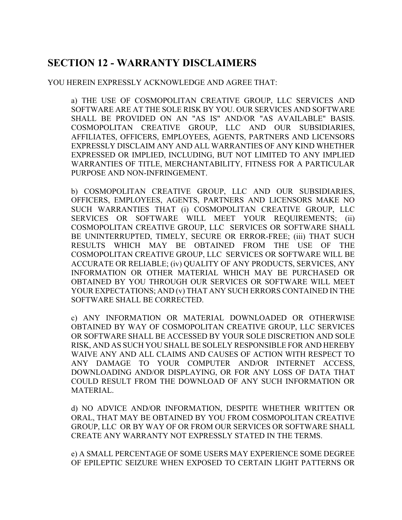## **SECTION 12 - WARRANTY DISCLAIMERS**

#### YOU HEREIN EXPRESSLY ACKNOWLEDGE AND AGREE THAT:

a) THE USE OF COSMOPOLITAN CREATIVE GROUP, LLC SERVICES AND SOFTWARE ARE AT THE SOLE RISK BY YOU. OUR SERVICES AND SOFTWARE SHALL BE PROVIDED ON AN "AS IS" AND/OR "AS AVAILABLE" BASIS. COSMOPOLITAN CREATIVE GROUP, LLC AND OUR SUBSIDIARIES, AFFILIATES, OFFICERS, EMPLOYEES, AGENTS, PARTNERS AND LICENSORS EXPRESSLY DISCLAIM ANY AND ALL WARRANTIES OF ANY KIND WHETHER EXPRESSED OR IMPLIED, INCLUDING, BUT NOT LIMITED TO ANY IMPLIED WARRANTIES OF TITLE, MERCHANTABILITY, FITNESS FOR A PARTICULAR PURPOSE AND NON-INFRINGEMENT.

b) COSMOPOLITAN CREATIVE GROUP, LLC AND OUR SUBSIDIARIES, OFFICERS, EMPLOYEES, AGENTS, PARTNERS AND LICENSORS MAKE NO SUCH WARRANTIES THAT (i) COSMOPOLITAN CREATIVE GROUP, LLC SERVICES OR SOFTWARE WILL MEET YOUR REQUIREMENTS; (ii) COSMOPOLITAN CREATIVE GROUP, LLC SERVICES OR SOFTWARE SHALL BE UNINTERRUPTED, TIMELY, SECURE OR ERROR-FREE; (iii) THAT SUCH RESULTS WHICH MAY BE OBTAINED FROM THE USE OF THE COSMOPOLITAN CREATIVE GROUP, LLC SERVICES OR SOFTWARE WILL BE ACCURATE OR RELIABLE; (iv) QUALITY OF ANY PRODUCTS, SERVICES, ANY INFORMATION OR OTHER MATERIAL WHICH MAY BE PURCHASED OR OBTAINED BY YOU THROUGH OUR SERVICES OR SOFTWARE WILL MEET YOUR EXPECTATIONS; AND (v) THAT ANY SUCH ERRORS CONTAINED IN THE SOFTWARE SHALL BE CORRECTED.

c) ANY INFORMATION OR MATERIAL DOWNLOADED OR OTHERWISE OBTAINED BY WAY OF COSMOPOLITAN CREATIVE GROUP, LLC SERVICES OR SOFTWARE SHALL BE ACCESSED BY YOUR SOLE DISCRETION AND SOLE RISK, AND AS SUCH YOU SHALL BE SOLELY RESPONSIBLE FOR AND HEREBY WAIVE ANY AND ALL CLAIMS AND CAUSES OF ACTION WITH RESPECT TO ANY DAMAGE TO YOUR COMPUTER AND/OR INTERNET ACCESS, DOWNLOADING AND/OR DISPLAYING, OR FOR ANY LOSS OF DATA THAT COULD RESULT FROM THE DOWNLOAD OF ANY SUCH INFORMATION OR MATERIAL.

d) NO ADVICE AND/OR INFORMATION, DESPITE WHETHER WRITTEN OR ORAL, THAT MAY BE OBTAINED BY YOU FROM COSMOPOLITAN CREATIVE GROUP, LLC OR BY WAY OF OR FROM OUR SERVICES OR SOFTWARE SHALL CREATE ANY WARRANTY NOT EXPRESSLY STATED IN THE TERMS.

e) A SMALL PERCENTAGE OF SOME USERS MAY EXPERIENCE SOME DEGREE OF EPILEPTIC SEIZURE WHEN EXPOSED TO CERTAIN LIGHT PATTERNS OR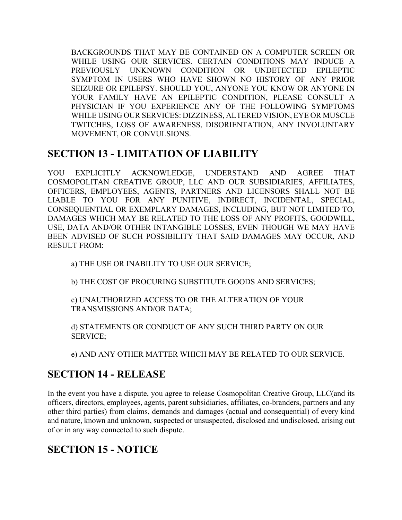BACKGROUNDS THAT MAY BE CONTAINED ON A COMPUTER SCREEN OR WHILE USING OUR SERVICES. CERTAIN CONDITIONS MAY INDUCE A PREVIOUSLY UNKNOWN CONDITION OR UNDETECTED EPILEPTIC SYMPTOM IN USERS WHO HAVE SHOWN NO HISTORY OF ANY PRIOR SEIZURE OR EPILEPSY. SHOULD YOU, ANYONE YOU KNOW OR ANYONE IN YOUR FAMILY HAVE AN EPILEPTIC CONDITION, PLEASE CONSULT A PHYSICIAN IF YOU EXPERIENCE ANY OF THE FOLLOWING SYMPTOMS WHILE USING OUR SERVICES: DIZZINESS, ALTERED VISION, EYE OR MUSCLE TWITCHES, LOSS OF AWARENESS, DISORIENTATION, ANY INVOLUNTARY MOVEMENT, OR CONVULSIONS.

### **SECTION 13 - LIMITATION OF LIABILITY**

YOU EXPLICITLY ACKNOWLEDGE, UNDERSTAND AND AGREE THAT COSMOPOLITAN CREATIVE GROUP, LLC AND OUR SUBSIDIARIES, AFFILIATES, OFFICERS, EMPLOYEES, AGENTS, PARTNERS AND LICENSORS SHALL NOT BE LIABLE TO YOU FOR ANY PUNITIVE, INDIRECT, INCIDENTAL, SPECIAL, CONSEQUENTIAL OR EXEMPLARY DAMAGES, INCLUDING, BUT NOT LIMITED TO, DAMAGES WHICH MAY BE RELATED TO THE LOSS OF ANY PROFITS, GOODWILL, USE, DATA AND/OR OTHER INTANGIBLE LOSSES, EVEN THOUGH WE MAY HAVE BEEN ADVISED OF SUCH POSSIBILITY THAT SAID DAMAGES MAY OCCUR, AND RESULT FROM:

a) THE USE OR INABILITY TO USE OUR SERVICE;

b) THE COST OF PROCURING SUBSTITUTE GOODS AND SERVICES;

c) UNAUTHORIZED ACCESS TO OR THE ALTERATION OF YOUR TRANSMISSIONS AND/OR DATA;

d) STATEMENTS OR CONDUCT OF ANY SUCH THIRD PARTY ON OUR SERVICE;

e) AND ANY OTHER MATTER WHICH MAY BE RELATED TO OUR SERVICE.

# **SECTION 14 - RELEASE**

In the event you have a dispute, you agree to release Cosmopolitan Creative Group, LLC(and its officers, directors, employees, agents, parent subsidiaries, affiliates, co-branders, partners and any other third parties) from claims, demands and damages (actual and consequential) of every kind and nature, known and unknown, suspected or unsuspected, disclosed and undisclosed, arising out of or in any way connected to such dispute.

# **SECTION 15 - NOTICE**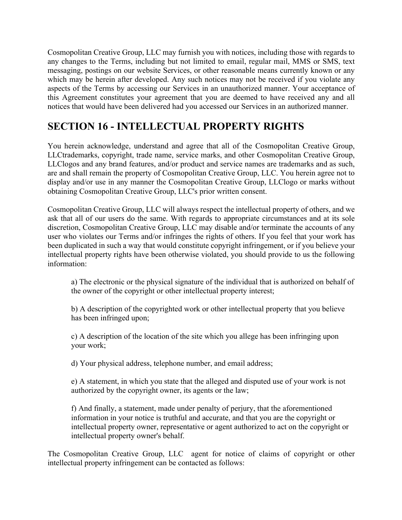Cosmopolitan Creative Group, LLC may furnish you with notices, including those with regards to any changes to the Terms, including but not limited to email, regular mail, MMS or SMS, text messaging, postings on our website Services, or other reasonable means currently known or any which may be herein after developed. Any such notices may not be received if you violate any aspects of the Terms by accessing our Services in an unauthorized manner. Your acceptance of this Agreement constitutes your agreement that you are deemed to have received any and all notices that would have been delivered had you accessed our Services in an authorized manner.

## **SECTION 16 - INTELLECTUAL PROPERTY RIGHTS**

You herein acknowledge, understand and agree that all of the Cosmopolitan Creative Group, LLCtrademarks, copyright, trade name, service marks, and other Cosmopolitan Creative Group, LLClogos and any brand features, and/or product and service names are trademarks and as such, are and shall remain the property of Cosmopolitan Creative Group, LLC. You herein agree not to display and/or use in any manner the Cosmopolitan Creative Group, LLClogo or marks without obtaining Cosmopolitan Creative Group, LLC's prior written consent.

Cosmopolitan Creative Group, LLC will always respect the intellectual property of others, and we ask that all of our users do the same. With regards to appropriate circumstances and at its sole discretion, Cosmopolitan Creative Group, LLC may disable and/or terminate the accounts of any user who violates our Terms and/or infringes the rights of others. If you feel that your work has been duplicated in such a way that would constitute copyright infringement, or if you believe your intellectual property rights have been otherwise violated, you should provide to us the following information:

a) The electronic or the physical signature of the individual that is authorized on behalf of the owner of the copyright or other intellectual property interest;

b) A description of the copyrighted work or other intellectual property that you believe has been infringed upon;

c) A description of the location of the site which you allege has been infringing upon your work;

d) Your physical address, telephone number, and email address;

e) A statement, in which you state that the alleged and disputed use of your work is not authorized by the copyright owner, its agents or the law;

f) And finally, a statement, made under penalty of perjury, that the aforementioned information in your notice is truthful and accurate, and that you are the copyright or intellectual property owner, representative or agent authorized to act on the copyright or intellectual property owner's behalf.

The Cosmopolitan Creative Group, LLC agent for notice of claims of copyright or other intellectual property infringement can be contacted as follows: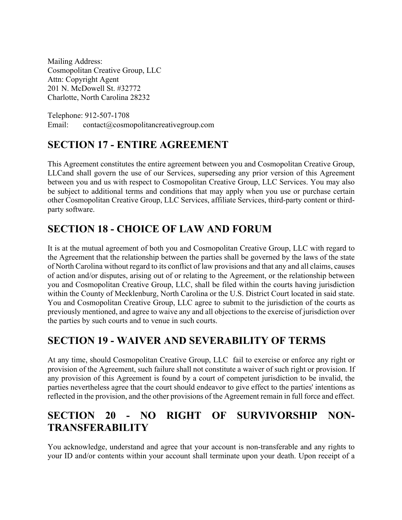Mailing Address: Cosmopolitan Creative Group, LLC Attn: Copyright Agent 201 N. McDowell St. #32772 Charlotte, North Carolina 28232

Telephone: 912-507-1708 Email: contact@cosmopolitancreativegroup.com

# **SECTION 17 - ENTIRE AGREEMENT**

This Agreement constitutes the entire agreement between you and Cosmopolitan Creative Group, LLCand shall govern the use of our Services, superseding any prior version of this Agreement between you and us with respect to Cosmopolitan Creative Group, LLC Services. You may also be subject to additional terms and conditions that may apply when you use or purchase certain other Cosmopolitan Creative Group, LLC Services, affiliate Services, third-party content or thirdparty software.

# **SECTION 18 - CHOICE OF LAW AND FORUM**

It is at the mutual agreement of both you and Cosmopolitan Creative Group, LLC with regard to the Agreement that the relationship between the parties shall be governed by the laws of the state of North Carolina without regard to its conflict of law provisions and that any and all claims, causes of action and/or disputes, arising out of or relating to the Agreement, or the relationship between you and Cosmopolitan Creative Group, LLC, shall be filed within the courts having jurisdiction within the County of Mecklenburg, North Carolina or the U.S. District Court located in said state. You and Cosmopolitan Creative Group, LLC agree to submit to the jurisdiction of the courts as previously mentioned, and agree to waive any and all objections to the exercise of jurisdiction over the parties by such courts and to venue in such courts.

# **SECTION 19 - WAIVER AND SEVERABILITY OF TERMS**

At any time, should Cosmopolitan Creative Group, LLC fail to exercise or enforce any right or provision of the Agreement, such failure shall not constitute a waiver of such right or provision. If any provision of this Agreement is found by a court of competent jurisdiction to be invalid, the parties nevertheless agree that the court should endeavor to give effect to the parties' intentions as reflected in the provision, and the other provisions of the Agreement remain in full force and effect.

# **SECTION 20 - NO RIGHT OF SURVIVORSHIP NON-TRANSFERABILITY**

You acknowledge, understand and agree that your account is non-transferable and any rights to your ID and/or contents within your account shall terminate upon your death. Upon receipt of a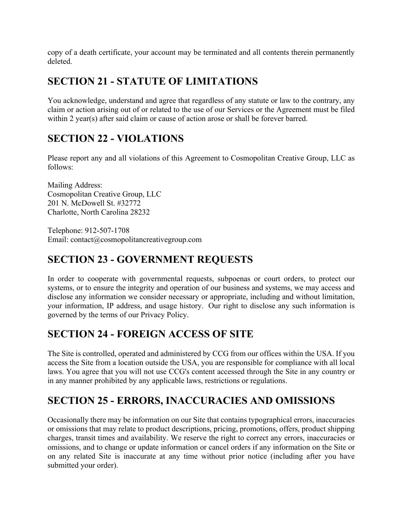copy of a death certificate, your account may be terminated and all contents therein permanently deleted.

## **SECTION 21 - STATUTE OF LIMITATIONS**

You acknowledge, understand and agree that regardless of any statute or law to the contrary, any claim or action arising out of or related to the use of our Services or the Agreement must be filed within 2 year(s) after said claim or cause of action arose or shall be forever barred.

## **SECTION 22 - VIOLATIONS**

Please report any and all violations of this Agreement to Cosmopolitan Creative Group, LLC as follows:

Mailing Address: Cosmopolitan Creative Group, LLC 201 N. McDowell St. #32772 Charlotte, North Carolina 28232

Telephone: 912-507-1708 Email: contact@cosmopolitancreativegroup.com

# **SECTION 23 - GOVERNMENT REQUESTS**

In order to cooperate with governmental requests, subpoenas or court orders, to protect our systems, or to ensure the integrity and operation of our business and systems, we may access and disclose any information we consider necessary or appropriate, including and without limitation, your information, IP address, and usage history. Our right to disclose any such information is governed by the terms of our Privacy Policy.

# **SECTION 24 - FOREIGN ACCESS OF SITE**

The Site is controlled, operated and administered by CCG from our offices within the USA. If you access the Site from a location outside the USA, you are responsible for compliance with all local laws. You agree that you will not use CCG's content accessed through the Site in any country or in any manner prohibited by any applicable laws, restrictions or regulations.

# **SECTION 25 - ERRORS, INACCURACIES AND OMISSIONS**

Occasionally there may be information on our Site that contains typographical errors, inaccuracies or omissions that may relate to product descriptions, pricing, promotions, offers, product shipping charges, transit times and availability. We reserve the right to correct any errors, inaccuracies or omissions, and to change or update information or cancel orders if any information on the Site or on any related Site is inaccurate at any time without prior notice (including after you have submitted your order).